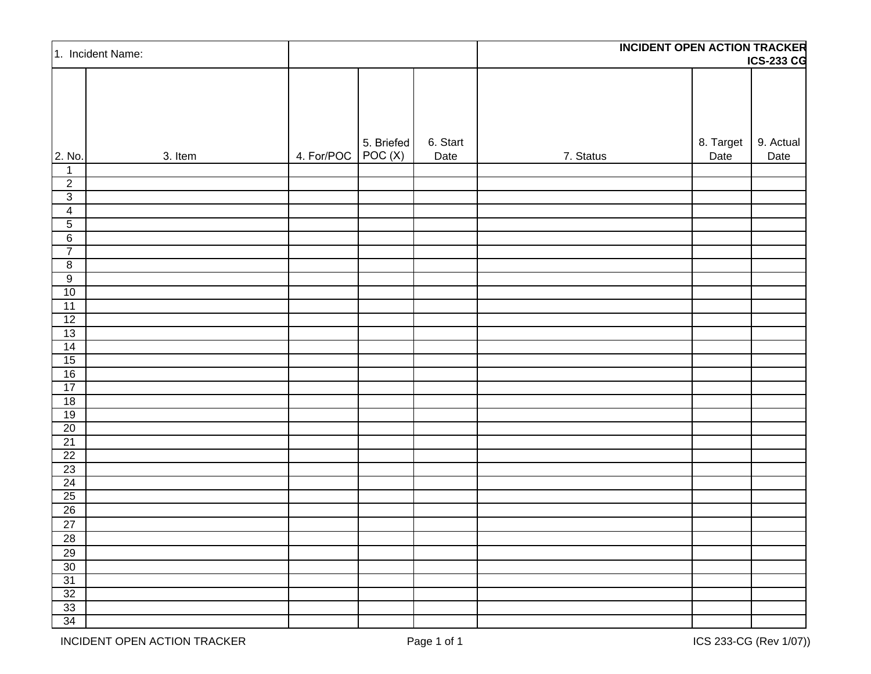| 1. Incident Name:                 |         |                    |            |                  | <b>INCIDENT OPEN ACTION TRACKER</b><br><b>ICS-233 CG</b> |                   |                   |
|-----------------------------------|---------|--------------------|------------|------------------|----------------------------------------------------------|-------------------|-------------------|
|                                   |         |                    |            |                  |                                                          |                   |                   |
| 2. No.                            | 3. Item | 4. For/POC POC (X) | 5. Briefed | 6. Start<br>Date | 7. Status                                                | 8. Target<br>Date | 9. Actual<br>Date |
| $\mathbf{1}$                      |         |                    |            |                  |                                                          |                   |                   |
| $\overline{2}$                    |         |                    |            |                  |                                                          |                   |                   |
| $\overline{3}$                    |         |                    |            |                  |                                                          |                   |                   |
| $\overline{4}$                    |         |                    |            |                  |                                                          |                   |                   |
| $\overline{5}$<br>$6\overline{6}$ |         |                    |            |                  |                                                          |                   |                   |
| $\overline{7}$                    |         |                    |            |                  |                                                          |                   |                   |
| $\overline{8}$                    |         |                    |            |                  |                                                          |                   |                   |
| $\overline{9}$                    |         |                    |            |                  |                                                          |                   |                   |
| 10                                |         |                    |            |                  |                                                          |                   |                   |
| 11                                |         |                    |            |                  |                                                          |                   |                   |
| 12                                |         |                    |            |                  |                                                          |                   |                   |
| 13                                |         |                    |            |                  |                                                          |                   |                   |
| 14                                |         |                    |            |                  |                                                          |                   |                   |
| 15                                |         |                    |            |                  |                                                          |                   |                   |
| 16                                |         |                    |            |                  |                                                          |                   |                   |
| 17                                |         |                    |            |                  |                                                          |                   |                   |
| 18                                |         |                    |            |                  |                                                          |                   |                   |
| 19                                |         |                    |            |                  |                                                          |                   |                   |
| 20<br>$\overline{21}$             |         |                    |            |                  |                                                          |                   |                   |
| 22                                |         |                    |            |                  |                                                          |                   |                   |
| 23                                |         |                    |            |                  |                                                          |                   |                   |
| 24                                |         |                    |            |                  |                                                          |                   |                   |
| $\overline{25}$                   |         |                    |            |                  |                                                          |                   |                   |
| $\overline{26}$                   |         |                    |            |                  |                                                          |                   |                   |
| $\overline{27}$                   |         |                    |            |                  |                                                          |                   |                   |
| $28\,$                            |         |                    |            |                  |                                                          |                   |                   |
| 29                                |         |                    |            |                  |                                                          |                   |                   |
| 30                                |         |                    |            |                  |                                                          |                   |                   |
| 31                                |         |                    |            |                  |                                                          |                   |                   |
| 32                                |         |                    |            |                  |                                                          |                   |                   |
| 33                                |         |                    |            |                  |                                                          |                   |                   |
| 34                                |         |                    |            |                  |                                                          |                   |                   |